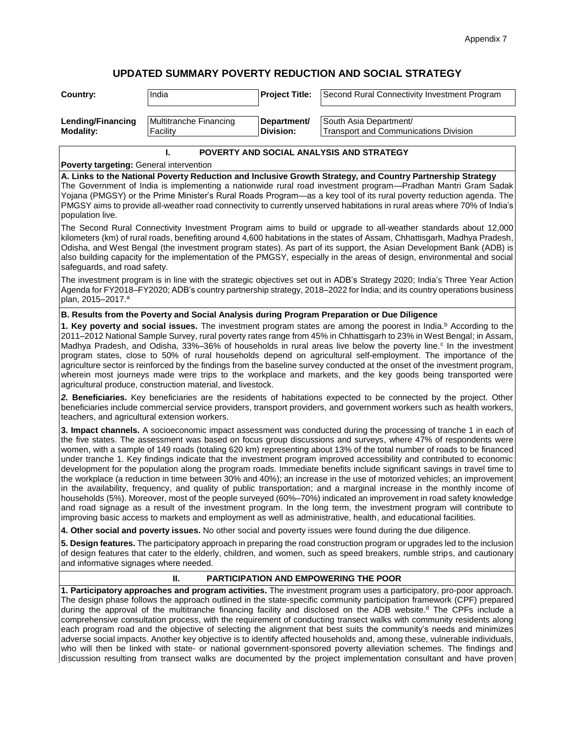# **UPDATED SUMMARY POVERTY REDUCTION AND SOCIAL STRATEGY**

| Country:          | India                  | <b>Project Title:</b> | Second Rural Connectivity Investment Program |
|-------------------|------------------------|-----------------------|----------------------------------------------|
| Lending/Financing | Multitranche Financing | Department/           | South Asia Department/                       |
| Modality:         | Facility               | <b>IDivision:</b>     | Transport and Communications Division        |

## **I. POVERTY AND SOCIAL ANALYSIS AND STRATEGY**

**Poverty targeting:** General intervention

**A. Links to the National Poverty Reduction and Inclusive Growth Strategy, and Country Partnership Strategy**  The Government of India is implementing a nationwide rural road investment program—Pradhan Mantri Gram Sadak Yojana (PMGSY) or the Prime Minister's Rural Roads Program—as a key tool of its rural poverty reduction agenda. The PMGSY aims to provide all-weather road connectivity to currently unserved habitations in rural areas where 70% of India's population live.

The Second Rural Connectivity Investment Program aims to build or upgrade to all-weather standards about 12,000 kilometers (km) of rural roads, benefiting around 4,600 habitations in the states of Assam, Chhattisgarh, Madhya Pradesh, Odisha, and West Bengal (the investment program states). As part of its support, the Asian Development Bank (ADB) is also building capacity for the implementation of the PMGSY, especially in the areas of design, environmental and social safeguards, and road safety.

The investment program is in line with the strategic objectives set out in ADB's Strategy 2020; India's Three Year Action Agenda for FY2018–FY2020; ADB's country partnership strategy, 2018–2022 for India; and its country operations business plan, 2015–2017.<sup>a</sup>

#### **B. Results from the Poverty and Social Analysis during Program Preparation or Due Diligence**

**1. Key poverty and social issues.** The investment program states are among the poorest in India.<sup>b</sup> According to the 2011–2012 National Sample Survey, rural poverty rates range from 45% in Chhattisgarh to 23% in West Bengal; in Assam, Madhya Pradesh, and Odisha, 33%-36% of households in rural areas live below the poverty line.<sup>c</sup> In the investment program states, close to 50% of rural households depend on agricultural self-employment. The importance of the agriculture sector is reinforced by the findings from the baseline survey conducted at the onset of the investment program, wherein most journeys made were trips to the workplace and markets, and the key goods being transported were agricultural produce, construction material, and livestock.

*2.* **Beneficiaries.** Key beneficiaries are the residents of habitations expected to be connected by the project. Other beneficiaries include commercial service providers, transport providers, and government workers such as health workers, teachers, and agricultural extension workers.

**3. Impact channels.** A socioeconomic impact assessment was conducted during the processing of tranche 1 in each of the five states. The assessment was based on focus group discussions and surveys, where 47% of respondents were women, with a sample of 149 roads (totaling 620 km) representing about 13% of the total number of roads to be financed under tranche 1. Key findings indicate that the investment program improved accessibility and contributed to economic development for the population along the program roads. Immediate benefits include significant savings in travel time to the workplace (a reduction in time between 30% and 40%); an increase in the use of motorized vehicles; an improvement in the availability, frequency, and quality of public transportation; and a marginal increase in the monthly income of households (5%). Moreover, most of the people surveyed (60%–70%) indicated an improvement in road safety knowledge and road signage as a result of the investment program. In the long term, the investment program will contribute to improving basic access to markets and employment as well as administrative, health, and educational facilities.

**4. Other social and poverty issues.** No other social and poverty issues were found during the due diligence.

**5. Design features.** The participatory approach in preparing the road construction program or upgrades led to the inclusion of design features that cater to the elderly, children, and women, such as speed breakers, rumble strips, and cautionary and informative signages where needed.

### **II. PARTICIPATION AND EMPOWERING THE POOR**

**1. Participatory approaches and program activities.** The investment program uses a participatory, pro-poor approach. The design phase follows the approach outlined in the state-specific community participation framework (CPF) prepared during the approval of the multitranche financing facility and disclosed on the ADB website.<sup>d</sup> The CPFs include a comprehensive consultation process, with the requirement of conducting transect walks with community residents along each program road and the objective of selecting the alignment that best suits the community's needs and minimizes adverse social impacts. Another key objective is to identify affected households and, among these, vulnerable individuals, who will then be linked with state- or national government-sponsored poverty alleviation schemes. The findings and discussion resulting from transect walks are documented by the project implementation consultant and have proven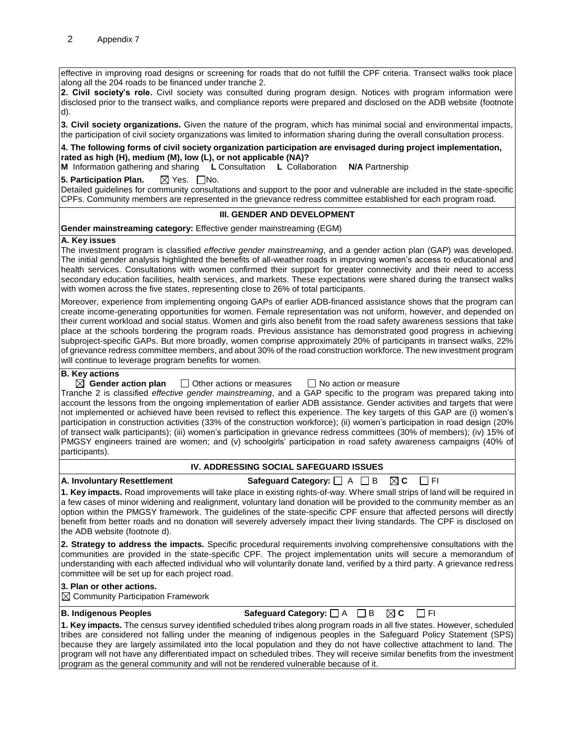effective in improving road designs or screening for roads that do not fulfill the CPF criteria. Transect walks took place along all the 204 roads to be financed under tranche 2.

**2. Civil society's role.** Civil society was consulted during program design. Notices with program information were disclosed prior to the transect walks, and compliance reports were prepared and disclosed on the ADB website (footnote d).

**3. Civil society organizations.** Given the nature of the program, which has minimal social and environmental impacts, the participation of civil society organizations was limited to information sharing during the overall consultation process.

#### **4. The following forms of civil society organization participation are envisaged during project implementation, rated as high (H), medium (M), low (L), or not applicable (NA)?**

**M** Information gathering and sharing **L** Consultation **L** Collaboration **N/A** Partnership

**5. Participation Plan. X** Yes. No.

Detailed guidelines for community consultations and support to the poor and vulnerable are included in the state-specific CPFs. Community members are represented in the grievance redress committee established for each program road.

### **III. GENDER AND DEVELOPMENT**

**Gender mainstreaming category:** Effective gender mainstreaming (EGM)

#### **A. Key issues**

The investment program is classified *effective gender mainstreaming*, and a gender action plan (GAP) was developed. The initial gender analysis highlighted the benefits of all-weather roads in improving women's access to educational and health services. Consultations with women confirmed their support for greater connectivity and their need to access secondary education facilities, health services, and markets. These expectations were shared during the transect walks with women across the five states, representing close to 26% of total participants.

Moreover, experience from implementing ongoing GAPs of earlier ADB-financed assistance shows that the program can create income-generating opportunities for women. Female representation was not uniform, however, and depended on their current workload and social status. Women and girls also benefit from the road safety awareness sessions that take place at the schools bordering the program roads. Previous assistance has demonstrated good progress in achieving subproject-specific GAPs. But more broadly, women comprise approximately 20% of participants in transect walks, 22% of grievance redress committee members, and about 30% of the road construction workforce. The new investment program will continue to leverage program benefits for women.

#### **B. Key actions**

 $\boxtimes$  Gender action plan  $\Box$  Other actions or measures  $\Box$  No action or measure Tranche 2 is classified *effective gender mainstreaming*, and a GAP specific to the program was prepared taking into account the lessons from the ongoing implementation of earlier ADB assistance. Gender activities and targets that were not implemented or achieved have been revised to reflect this experience. The key targets of this GAP are (i) women's participation in construction activities (33% of the construction workforce); (ii) women's participation in road design (20% of transect walk participants); (iii) women's participation in grievance redress committees (30% of members); (iv) 15% of PMGSY engineers trained are women; and (v) schoolgirls' participation in road safety awareness campaigns (40% of participants).

#### **IV. ADDRESSING SOCIAL SAFEGUARD ISSUES**

#### **A. Involuntary Resettlement Safeguard Category:**  $\Box$  **A**  $\Box$  **B**  $\Box$  **C**  $\Box$  **FI**

**1. Key impacts.** Road improvements will take place in existing rights-of-way. Where small strips of land will be required in a few cases of minor widening and realignment, voluntary land donation will be provided to the community member as an option within the PMGSY framework. The guidelines of the state-specific CPF ensure that affected persons will directly benefit from better roads and no donation will severely adversely impact their living standards. The CPF is disclosed on the ADB website (footnote d).

**2. Strategy to address the impacts.** Specific procedural requirements involving comprehensive consultations with the communities are provided in the state-specific CPF. The project implementation units will secure a memorandum of understanding with each affected individual who will voluntarily donate land, verified by a third party. A grievance redress committee will be set up for each project road.

# **3. Plan or other actions.**

 $\boxtimes$  Community Participation Framework

**B. Indigenous Peoples Safeguard Category:** A B **C** FI

**1. Key impacts.** The census survey identified scheduled tribes along program roads in all five states. However, scheduled tribes are considered not falling under the meaning of indigenous peoples in the Safeguard Policy Statement (SPS) because they are largely assimilated into the local population and they do not have collective attachment to land. The program will not have any differentiated impact on scheduled tribes. They will receive similar benefits from the investment program as the general community and will not be rendered vulnerable because of it.